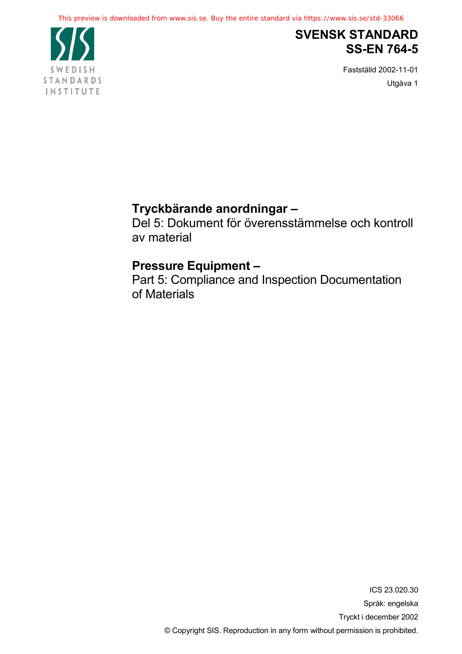

# **SVENSK STANDARD SS-EN 764-5**

Fastställd 2002-11-01 Utgåva 1

# **Tryckbärande anordningar –**

Del 5: Dokument för överensstämmelse och kontroll av material

# **Pressure Equipment –**

Part 5: Compliance and Inspection Documentation of Materials

> ICS 23.020.30 Språk: engelska Tryckt i december 2002 © Copyright SIS. Reproduction in any form without permission is prohibited.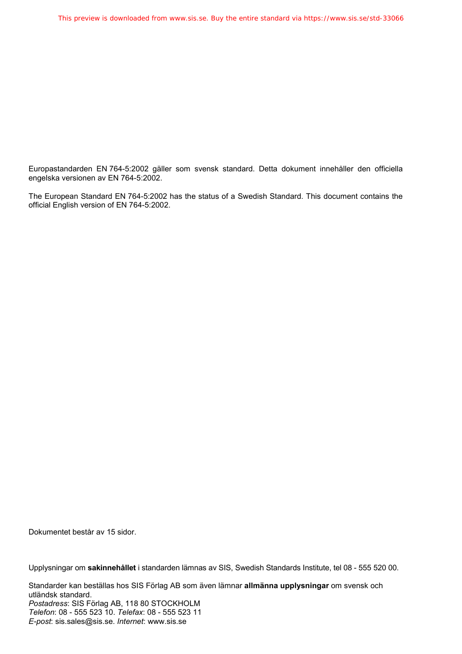Europastandarden EN 764-5:2002 gäller som svensk standard. Detta dokument innehåller den officiella engelska versionen av EN 764-5:2002.

The European Standard EN 764-5:2002 has the status of a Swedish Standard. This document contains the official English version of EN 764-5:2002.

Dokumentet består av 15 sidor.

Upplysningar om **sakinnehållet** i standarden lämnas av SIS, Swedish Standards Institute, tel 08 - 555 520 00.

Standarder kan beställas hos SIS Förlag AB som även lämnar **allmänna upplysningar** om svensk och utländsk standard. *Postadress*: SIS Förlag AB, 118 80 STOCKHOLM *Telefon*: 08 - 555 523 10. *Telefax*: 08 - 555 523 11 *E-post*: sis.sales@sis.se. *Internet*: www.sis.se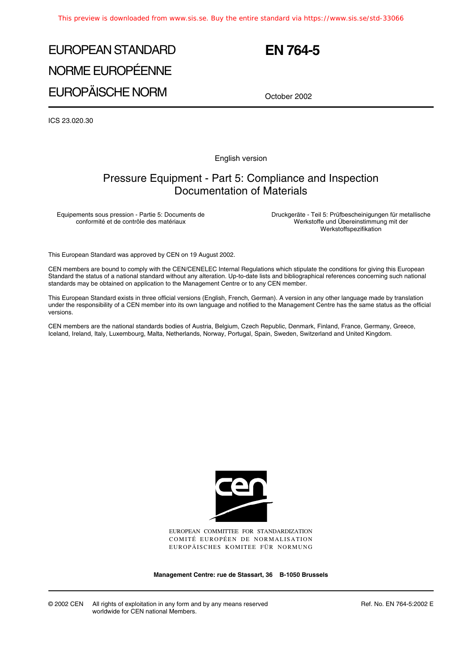# EUROPEAN STANDARD NORME EUROPÉENNE EUROPÄISCHE NORM

## **EN 764-5**

October 2002

ICS 23.020.30

English version

### Pressure Equipment - Part 5: Compliance and Inspection Documentation of Materials

Equipements sous pression - Partie 5: Documents de conformité et de contrôle des matériaux

Druckgeräte - Teil 5: Prüfbescheinigungen für metallische Werkstoffe und Übereinstimmung mit der Werkstoffspezifikation

This European Standard was approved by CEN on 19 August 2002.

CEN members are bound to comply with the CEN/CENELEC Internal Regulations which stipulate the conditions for giving this European Standard the status of a national standard without any alteration. Up-to-date lists and bibliographical references concerning such national standards may be obtained on application to the Management Centre or to any CEN member.

This European Standard exists in three official versions (English, French, German). A version in any other language made by translation under the responsibility of a CEN member into its own language and notified to the Management Centre has the same status as the official versions.

CEN members are the national standards bodies of Austria, Belgium, Czech Republic, Denmark, Finland, France, Germany, Greece, Iceland, Ireland, Italy, Luxembourg, Malta, Netherlands, Norway, Portugal, Spain, Sweden, Switzerland and United Kingdom.



EUROPEAN COMMITTEE FOR STANDARDIZATION COMITÉ EUROPÉEN DE NORMALISATION EUROPÄISCHES KOMITEE FÜR NORMUNG

**Management Centre: rue de Stassart, 36 B-1050 Brussels**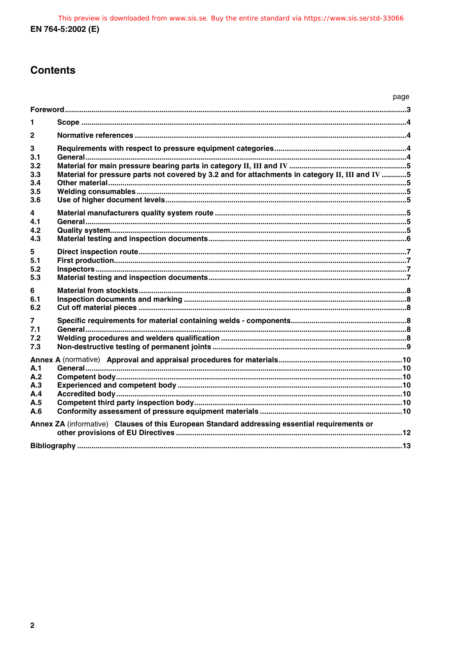## **Contents**

|                                                                                               |                                                                                                 | page |  |
|-----------------------------------------------------------------------------------------------|-------------------------------------------------------------------------------------------------|------|--|
|                                                                                               |                                                                                                 |      |  |
| 1                                                                                             |                                                                                                 |      |  |
| $\mathbf{2}$                                                                                  |                                                                                                 |      |  |
| 3<br>3.1<br>3.2<br>3.3<br>3.4<br>3.5<br>3.6                                                   | Material for pressure parts not covered by 3.2 and for attachments in category II, III and IV 5 |      |  |
| 4<br>41<br>4.2<br>4.3                                                                         |                                                                                                 |      |  |
| 5<br>5.1<br>5.2<br>5.3                                                                        |                                                                                                 |      |  |
| 6<br>6.1<br>6.2                                                                               |                                                                                                 |      |  |
| 7<br>7.1<br>7.2<br>7.3                                                                        |                                                                                                 |      |  |
| A.1<br>A.2<br>A.3<br>A.4<br>A.5<br>A.6                                                        |                                                                                                 |      |  |
| Annex ZA (informative) Clauses of this European Standard addressing essential requirements or |                                                                                                 |      |  |
|                                                                                               |                                                                                                 |      |  |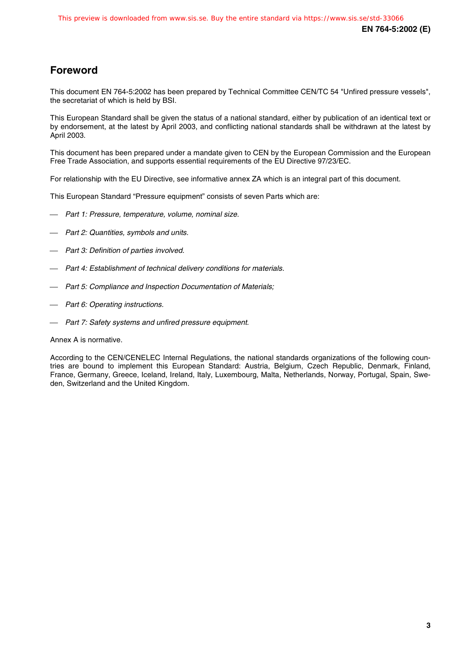## **Foreword**

This document EN 764-5:2002 has been prepared by Technical Committee CEN/TC 54 "Unfired pressure vessels", the secretariat of which is held by BSI.

This European Standard shall be given the status of a national standard, either by publication of an identical text or by endorsement, at the latest by April 2003, and conflicting national standards shall be withdrawn at the latest by April 2003.

This document has been prepared under a mandate given to CEN by the European Commission and the European Free Trade Association, and supports essential requirements of the EU Directive 97/23/EC.

For relationship with the EU Directive, see informative annex ZA which is an integral part of this document.

This European Standard "Pressure equipment" consists of seven Parts which are:

- Part 1: Pressure, temperature, volume, nominal size.
- Part 2: Quantities, symbols and units.
- Part 3: Definition of parties involved.
- Part 4: Establishment of technical delivery conditions for materials.
- Part 5: Compliance and Inspection Documentation of Materials;
- Part 6: Operating instructions.
- Part 7: Safety systems and unfired pressure equipment.

#### Annex A is normative.

According to the CEN/CENELEC Internal Regulations, the national standards organizations of the following countries are bound to implement this European Standard: Austria, Belgium, Czech Republic, Denmark, Finland, France, Germany, Greece, Iceland, Ireland, Italy, Luxembourg, Malta, Netherlands, Norway, Portugal, Spain, Sweden, Switzerland and the United Kingdom.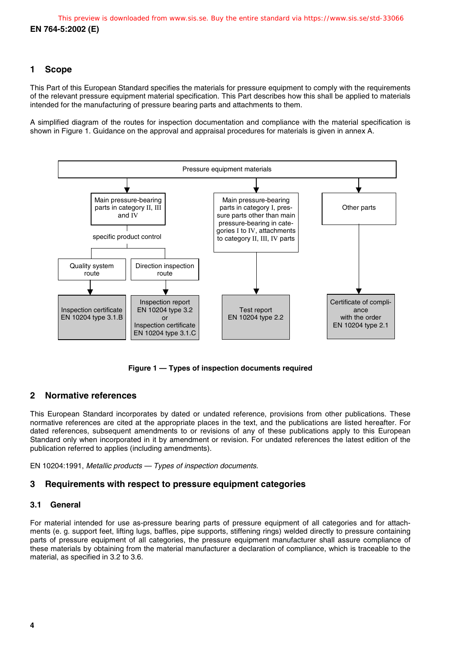#### **1 Scope**

This Part of this European Standard specifies the materials for pressure equipment to comply with the requirements of the relevant pressure equipment material specification. This Part describes how this shall be applied to materials intended for the manufacturing of pressure bearing parts and attachments to them.

A simplified diagram of the routes for inspection documentation and compliance with the material specification is shown in Figure 1. Guidance on the approval and appraisal procedures for materials is given in annex A.



**Figure 1 — Types of inspection documents required**

#### **2 Normative references**

This European Standard incorporates by dated or undated reference, provisions from other publications. These normative references are cited at the appropriate places in the text, and the publications are listed hereafter. For dated references, subsequent amendments to or revisions of any of these publications apply to this European Standard only when incorporated in it by amendment or revision. For undated references the latest edition of the publication referred to applies (including amendments).

EN 10204:1991, Metallic products — Types of inspection documents.

#### **3 Requirements with respect to pressure equipment categories**

#### **3.1 General**

For material intended for use as-pressure bearing parts of pressure equipment of all categories and for attachments (e. g. support feet, lifting lugs, baffles, pipe supports, stiffening rings) welded directly to pressure containing parts of pressure equipment of all categories, the pressure equipment manufacturer shall assure compliance of these materials by obtaining from the material manufacturer a declaration of compliance, which is traceable to the material, as specified in 3.2 to 3.6.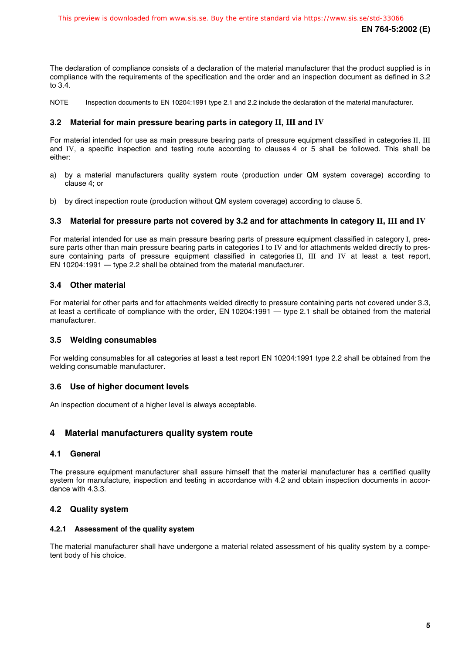The declaration of compliance consists of a declaration of the material manufacturer that the product supplied is in compliance with the requirements of the specification and the order and an inspection document as defined in 3.2 to 3.4.

NOTE Inspection documents to EN 10204:1991 type 2.1 and 2.2 include the declaration of the material manufacturer.

#### **3.2 Material for main pressure bearing parts in category II, III and IV**

For material intended for use as main pressure bearing parts of pressure equipment classified in categories II, III and IV, a specific inspection and testing route according to clauses 4 or 5 shall be followed. This shall be either:

- a) by a material manufacturers quality system route (production under QM system coverage) according to clause 4; or
- b) by direct inspection route (production without QM system coverage) according to clause 5.

#### **3.3 Material for pressure parts not covered by 3.2 and for attachments in category II, III and IV**

For material intended for use as main pressure bearing parts of pressure equipment classified in category I, pressure parts other than main pressure bearing parts in categories I to IV and for attachments welded directly to pressure containing parts of pressure equipment classified in categories II, III and IV at least a test report, EN 10204:1991 — type 2.2 shall be obtained from the material manufacturer.

#### **3.4 Other material**

For material for other parts and for attachments welded directly to pressure containing parts not covered under 3.3, at least a certificate of compliance with the order, EN 10204:1991 — type 2.1 shall be obtained from the material manufacturer.

#### **3.5 Welding consumables**

For welding consumables for all categories at least a test report EN 10204:1991 type 2.2 shall be obtained from the welding consumable manufacturer.

#### **3.6 Use of higher document levels**

An inspection document of a higher level is always acceptable.

#### **4 Material manufacturers quality system route**

#### **4.1 General**

The pressure equipment manufacturer shall assure himself that the material manufacturer has a certified quality system for manufacture, inspection and testing in accordance with 4.2 and obtain inspection documents in accordance with 4.3.3.

#### **4.2 Quality system**

#### **4.2.1 Assessment of the quality system**

The material manufacturer shall have undergone a material related assessment of his quality system by a competent body of his choice.